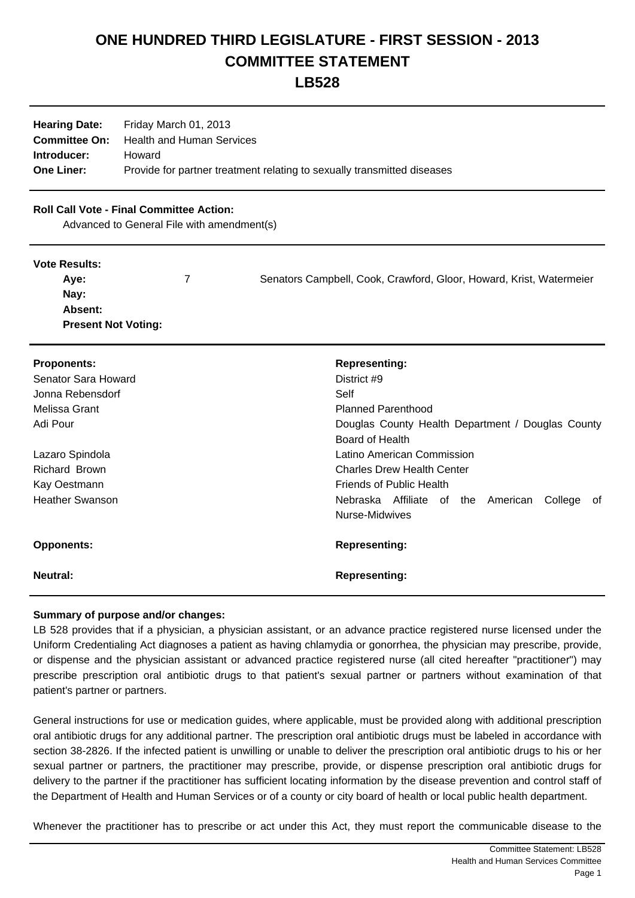# **ONE HUNDRED THIRD LEGISLATURE - FIRST SESSION - 2013 COMMITTEE STATEMENT**

**LB528**

| <b>Hearing Date:</b> | Friday March 01, 2013                                                   |
|----------------------|-------------------------------------------------------------------------|
| <b>Committee On:</b> | Health and Human Services                                               |
| Introducer:          | Howard                                                                  |
| <b>One Liner:</b>    | Provide for partner treatment relating to sexually transmitted diseases |

## **Roll Call Vote - Final Committee Action:**

Advanced to General File with amendment(s)

#### **Vote Results:**

| Ave:                       | Senators Campbell, Cook, Crawford, Gloor, Howard, Krist, Watermeier |
|----------------------------|---------------------------------------------------------------------|
| Nay:                       |                                                                     |
| <b>Absent:</b>             |                                                                     |
| <b>Present Not Voting:</b> |                                                                     |

| <b>Proponents:</b><br>Senator Sara Howard<br>Jonna Rebensdorf | <b>Representing:</b><br>District #9<br>Self                              |
|---------------------------------------------------------------|--------------------------------------------------------------------------|
| Melissa Grant                                                 | <b>Planned Parenthood</b>                                                |
| Adi Pour                                                      | Douglas County Health Department / Douglas County<br>Board of Health     |
| Lazaro Spindola                                               | Latino American Commission                                               |
| Richard Brown                                                 | <b>Charles Drew Health Center</b>                                        |
| Kay Oestmann                                                  | <b>Friends of Public Health</b>                                          |
| <b>Heather Swanson</b>                                        | Nebraska Affiliate of the<br>American<br>College<br>of<br>Nurse-Midwives |
| <b>Opponents:</b>                                             | <b>Representing:</b>                                                     |
| Neutral:                                                      | <b>Representing:</b>                                                     |

#### **Summary of purpose and/or changes:**

LB 528 provides that if a physician, a physician assistant, or an advance practice registered nurse licensed under the Uniform Credentialing Act diagnoses a patient as having chlamydia or gonorrhea, the physician may prescribe, provide, or dispense and the physician assistant or advanced practice registered nurse (all cited hereafter "practitioner") may prescribe prescription oral antibiotic drugs to that patient's sexual partner or partners without examination of that patient's partner or partners.

General instructions for use or medication guides, where applicable, must be provided along with additional prescription oral antibiotic drugs for any additional partner. The prescription oral antibiotic drugs must be labeled in accordance with section 38-2826. If the infected patient is unwilling or unable to deliver the prescription oral antibiotic drugs to his or her sexual partner or partners, the practitioner may prescribe, provide, or dispense prescription oral antibiotic drugs for delivery to the partner if the practitioner has sufficient locating information by the disease prevention and control staff of the Department of Health and Human Services or of a county or city board of health or local public health department.

Whenever the practitioner has to prescribe or act under this Act, they must report the communicable disease to the